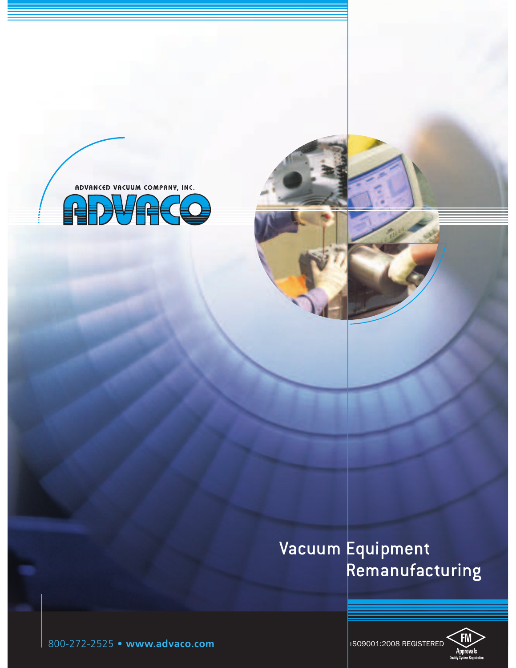

## Vacuum Equipment Remanufacturing



I SO9001:2008 REGISTERED

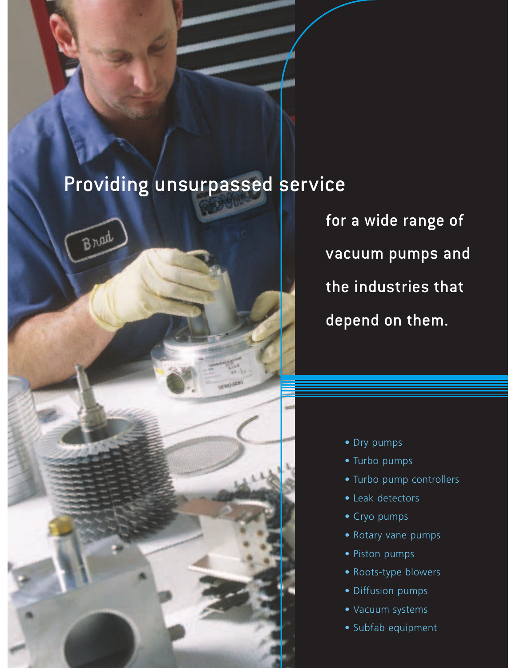# Providing unsurpassed service

**Brud** 



- Dry pumps
- Turbo pumps
- Turbo pump controllers
- Leak detectors
- Cryo pumps
- Rotary vane pumps
- Piston pumps
- Roots-type blowers
- Diffusion pumps
- Vacuum systems
- Subfab equipment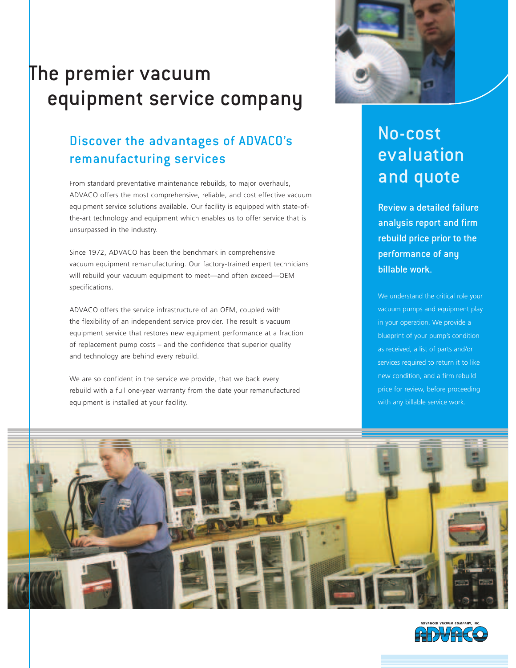# The premier vacuum equipment service company

## Discover the advantages of ADVACO's remanufacturing services

From standard preventative maintenance rebuilds, to major overhauls, ADVACO offers the most comprehensive, reliable, and cost effective vacuum equipment service solutions available. Our facility is equipped with state-ofthe-art technology and equipment which enables us to offer service that is unsurpassed in the industry.

Since 1972, ADVACO has been the benchmark in comprehensive vacuum equipment remanufacturing. Our factory-trained expert technicians will rebuild your vacuum equipment to meet—and often exceed—OEM specifications.

ADVACO offers the service infrastructure of an OEM, coupled with the flexibility of an independent service provider. The result is vacuum equipment service that restores new equipment performance at a fraction of replacement pump costs – and the confidence that superior quality and technology are behind every rebuild.

We are so confident in the service we provide, that we back every rebuild with a full one-year warranty from the date your remanufactured equipment is installed at your facility.



## No-cost evaluation and quote

Review a detailed failure analysis report and firm rebuild price prior to the performance of any billable work.

We understand the critical role your vacuum pumps and equipment play in your operation. We provide a blueprint of your pump's condition as received, a list of parts and/or services required to return it to like new condition, and a firm rebuild price for review, before proceeding with any billable service work.



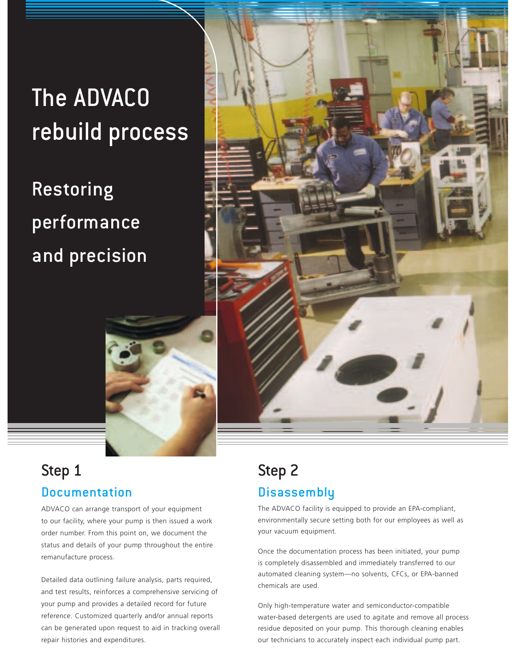# The ADVACO rebuild process

# Restoring performance and precision



## Step 1 Documentation

ADVACO can arrange transport of your equipment to our facility, where your pump is then issued a work order number. From this point on, we document the status and details of your pump throughout the entire remanufacture process.

Detailed data outlining failure analysis, parts required, and test results, reinforces a comprehensive servicing of your pump and provides a detailed record for future reference. Customized quarterly and/or annual reports can be generated upon request to aid in tracking overall repair histories and expenditures.

## Step 2 **Disassembly**

The ADVACO facility is equipped to provide an EPA-compliant, environmentally secure setting both for our employees as well as your vacuum equipment.

Once the documentation process has been initiated, your pump is completely disassembled and immediately transferred to our automated cleaning system—no solvents, CFCs, or EPA-banned chemicals are used.

Only high-temperature water and semiconductor-compatible water-based detergents are used to agitate and remove all process residue deposited on your pump. This thorough cleaning enables our technicians to accurately inspect each individual pump part.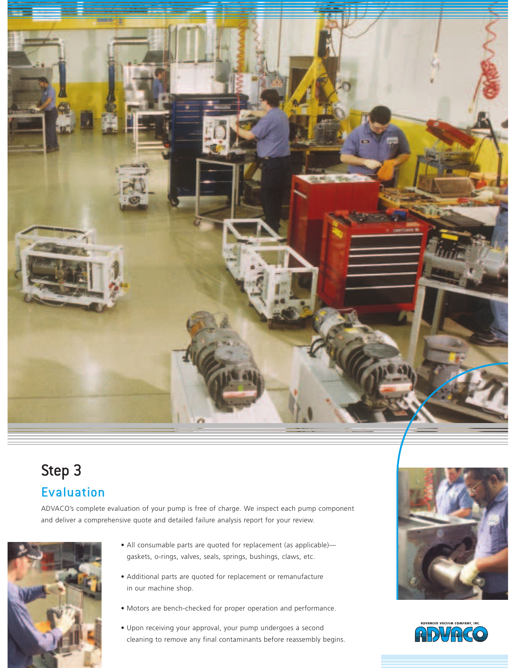

## Step 3 Evaluation

ADVACO's complete evaluation of your pump is free of charge. We inspect each pump component and deliver a comprehensive quote and detailed failure analysis report for your review.



- All consumable parts are quoted for replacement (as applicable) gaskets, o-rings, valves, seals, springs, bushings, claws, etc.
- Additional parts are quoted for replacement or remanufacture in our machine shop.
- Motors are bench-checked for proper operation and performance.
- Upon receiving your approval, your pump undergoes a second cleaning to remove any final contaminants before reassembly begins.



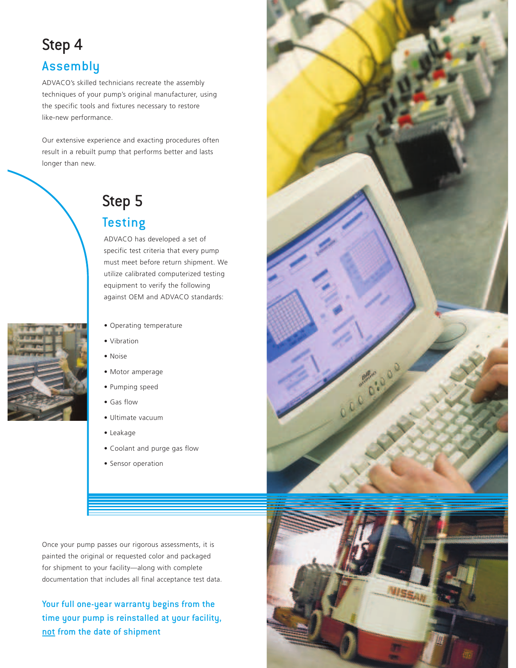# Step 4

## Assembly

ADVACO's skilled technicians recreate the assembly techniques of your pump's original manufacturer, using the specific tools and fixtures necessary to restore like-new performance.

Our extensive experience and exacting procedures often result in a rebuilt pump that performs better and lasts longer than new.





## **Testing** ADVACO has developed a set of

specific test criteria that every pump must meet before return shipment. We utilize calibrated computerized testing equipment to verify the following against OEM and ADVACO standards:

- Operating temperature
- Vibration
- Noise
- Motor amperage
- Pumping speed
- Gas flow
- Ultimate vacuum
- Leakage
- Coolant and purge gas flow
- Sensor operation

Once your pump passes our rigorous assessments, it is painted the original or requested color and packaged for shipment to your facility—along with complete documentation that includes all final acceptance test data.

Your full one-year warranty begins from the time your pump is reinstalled at your facility, not from the date of shipment



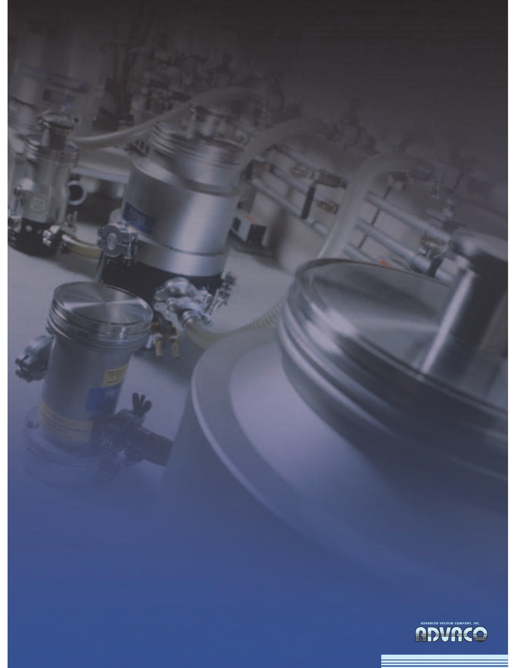